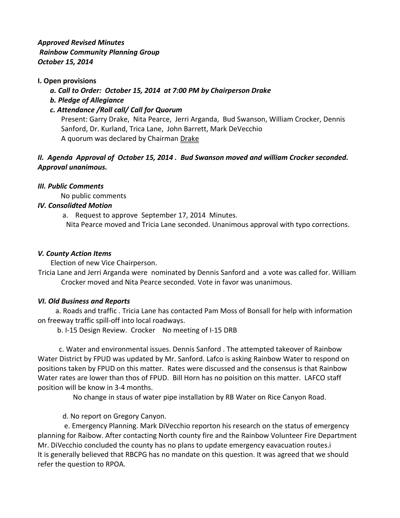*Approved Revised Minutes Rainbow Community Planning Group October 15, 2014*

## **I. Open provisions**

 *a. Call to Order: October 15, 2014 at 7:00 PM by Chairperson Drake*

 *b. Pledge of Allegiance*

## *c. Attendance /Roll call/ Call for Quorum*

Present: Garry Drake, Nita Pearce, Jerri Arganda, Bud Swanson, William Crocker, Dennis Sanford, Dr. Kurland, Trica Lane, John Barrett, Mark DeVecchio A quorum was declared by Chairman Drake

# *II. Agenda Approval of October 15, 2014 . Bud Swanson moved and william Crocker seconded. Approval unanimous.*

#### *III. Public Comments*

No public comments

#### *IV. Consolidted Motion*

a. Request to approve September 17, 2014 Minutes.

Nita Pearce moved and Tricia Lane seconded. Unanimous approval with typo corrections.

#### *V. County Action Items*

Election of new Vice Chairperson.

Tricia Lane and Jerri Arganda were nominated by Dennis Sanford and a vote was called for. William Crocker moved and Nita Pearce seconded. Vote in favor was unanimous.

#### *VI. Old Business and Reports*

a. Roads and traffic . Tricia Lane has contacted Pam Moss of Bonsall for help with information on freeway traffic spill-off into local roadways.

b. I-15 Design Review. Crocker No meeting of I-15 DRB

 c. Water and environmental issues. Dennis Sanford . The attempted takeover of Rainbow Water District by FPUD was updated by Mr. Sanford. Lafco is asking Rainbow Water to respond on positions taken by FPUD on this matter. Rates were discussed and the consensus is that Rainbow Water rates are lower than thos of FPUD. Bill Horn has no poisition on this matter. LAFCO staff position will be know in 3-4 months.

No change in staus of water pipe installation by RB Water on Rice Canyon Road.

d. No report on Gregory Canyon.

 e. Emergency Planning. Mark DiVecchio reporton his research on the status of emergency planning for Raibow. After contacting North county fire and the Rainbow Volunteer Fire Department Mr. DiVecchio concluded the county has no plans to update emergency eavacuation routes.i It is generally believed that RBCPG has no mandate on this question. It was agreed that we should refer the question to RPOA.